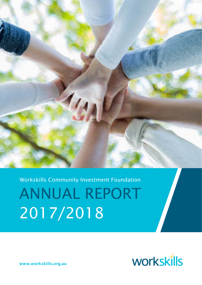

Workskills Community Investment Foundation

ANNUAL REPORT 2017/2018



www.workskills.org.au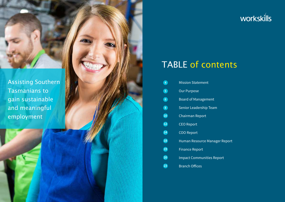2 3



ager Report

leport

## TABLE of contents

| $\overline{4}$           | <b>Mission Statement</b>      |
|--------------------------|-------------------------------|
| $\bullet$                | <b>Our Purpose</b>            |
| 6                        | <b>Board of Management</b>    |
| $\bullet$                | <b>Senior Leadership Team</b> |
| $\overline{\mathbf{10}}$ | <b>Chairman Report</b>        |
| $\overline{\mathbf{12}}$ | <b>CEO Report</b>             |
| $\overline{\mathbf{14}}$ | <b>COO Report</b>             |
| $\overline{\mathbf{18}}$ | Human Resource Manag          |
| $\overline{\mathbf{19}}$ | <b>Finance Report</b>         |
| (20)                     | <b>Impact Communities Re</b>  |
| 23                       | <b>Branch Offices</b>         |

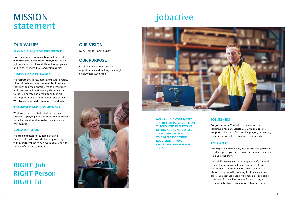### OUR VALUES

### MAKING A POSITIVE DIFFERENCE

Every person and organisation that connects with Worksills is important. Everything we do is intended to facilitate skills and employment and to assist individuals and communities.

### RESPECT AND INTEGRITY

We respect the rights, aspirations and diversity of individuals and the communities in which they live' and their entitlement to acceptance and courtesy. All staff actively demonstrate fairness, honesty and accountability in all dealings with one another and all stakeholders. We observe accepted community standards.

### TEAMWORK AND COMMITMENT

Workskills staff are dedicated to working together, applying a mix of skills and expertise to deliver services that assist individuals and communities.

### **COLLABORATION**

We are committed to building positive relationships with stakeholders by working within partnerships to achieve mutual goals for the benefit of our communities.

## MISSION statement

# jobactive



RIGHT Job RIGHT Person RIGHT fit

### **OUR VISION**

Work • Skills • Community

### OUR PURPOSE

Building connections, creating opportunities and making meaningful employment achievable.



For job seekers Workskills, as a contracted jobactive provider, assists you with one-on-one support to help you find and keep a job, depending on your individual circumstances and needs.

### **EMPLOYERS**

For employers Workskills, as a contracted jobactive provider, gives you access to a free service that can help you find staff.

Workskills assists you with support that's tailored to meet your individual business needs, from recruitment advice, to candidate screening and short listing, to skills training for job seekers to suit your business needs. You may also be eligible to receive financial incentives for recruiting staff through jobactive. This service is free of charge.

WORKSKILLS IS CONTRACTED TO THE FEDERAL GOVERNMENT THROUGH THE DEPARTMENT OF JOBS AND SMALL BUSINESS TO PROVIDE SERVICES TO ELIGIBLE JOB SEEKERS REGISTERED THROUGH CENTRELINK AND REFERRED TO US.

### **JOB SEEKERS**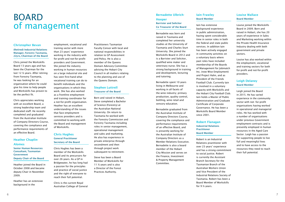### Christopher Bevan

(Retired) Industrial Relations Manager, Forestry Tasmania, 22yrs, Chairman of the Board

Chris joined the Workskills Board 13 years ago and has been the Chairman for the last 12 ½ years. After retiring from Forestry Tasmania, he was looking for an organisation where he could give his time to help people and Workskills has proven to be the perfect fit.

Chris appreciates working with an excellent Board, a strong leadership team and dedicated staff. He recently completed and graduated from the Australian Institute of Company Directors Course, covering the compliance and performance requirements of an effective Board.

### Heather Chaplin-Alomes

Senior Human Resources Consultant, Tasmanian **Government** Deputy Chair of the Board

Heather joined the Board in October 2008 and became deputy Chair in November 2009.

Heather has an extensive background in the

employment, vocational and training sector with more than 23 years' experience working in the industry with for-profit and not-for-profit providers and Government. She joined the industry working in human resources on a large industrial site and has seen first-hand what vocational training can do to benefit individuals and the organisations in which they work. She has also worked as a frontline employment and training coordinator for a not-for-profit organisation. Heather has an excellent understanding of the issues that face employment

services providers and is committed to working with the Board and management of Workskills.

### Chris Hughes General Practitioner Secretary of the Board

Chris Hughes has been a member of the Workskills Board and its precursors for over 26 years. As a GP in Bridgewater, he has long had a passion for the principles and practice of social justice and the right of everyone to reach their full potential.

Chris is the current Royal Australian College of General Practitioners Tasmanian Faculty Censor with local and national responsibilities in relation to GP Assessment and Policy. He is also a member of the Queens Domain Advisory Committee advising the Hobart City Council in all matters relating to the planning and use of the Queens Domain.

### Stephen Luttrell Treasurer of the Board

Born and raised in Hobart, Steve completed a Bachelor of Science (Forestry) at the Australian National University. On return to Tasmania he worked with the Forestry Commission and Forestry Tasmania including roles in senior management, operational management and sales and marketing. He also has experience in private enterprise through secondment and then through project work subsequent to retirement.

Steve has been a Board Member of Workskills for 11 ½ years and is also a Director of the Forest Practices Authority.

Bernadette Ulbrich-

### Hooper Barrister and Solicitor Co Treasurer of the Board

Bernadette was born and raised in Tasmania and completed her university studies at the University of Tasmania and Charles Sturt University. She joined the Workskills Board in 2012 and is a Barrister and Solicitor, qualified wine maker and veterinary nurse. She has a strong background in training and development, lecturing and tutoring.

Bernadette spent 10 years living in Melbourne and working in all facets of the wine industry; primary production, quality control, bottling, wine retail and sensory education.

Bernadette graduated from the Australian Institute of Company Directors Course, covering the compliance and performance requirements of an effective Board, and is presently working for the Australian Institute of Company Directors as a Member Relations Executive. Bernadette is also a board member of the Hobart City Mission and serves on the Finance, Investment & Property Management Committee.

## BOARD of management

### Iain Frawley Board Member

Iain has extensive background experience in public administration, having spent considerable time in senior roles in both the federal and state public services. In addition Iain has been actively engaged in community activities on a voluntary basis where past roles have included membership of the Boards of Management for Jobmatch Inc. (now Wise Employment) and Project Hahn, and as President of the Friends Football Club. Currently Iain is involved in a voluntary capacity with Workskills and the Hobart City Football Club. Iain holds a Master of Public Administration and Graduate Certificate of Corporate Governance. He has been a Workskills Board Member since 2001.

### Robert Flanagan Industrial Relations Practitioner Board Member

Robert is an Industrial Relations practitioner with over 23 years' experience and has a strong commitment to social justice. Robert is currently the Assistant Branch Secretary for the Tasmanian Branch of the Australian Workers Union and Vice President of the Industrial Relations Society of Tasmania. Robert has been a Board Member of Workskills for 9 ½ years.

### Louise Wallace Board Member

Louise joined the Workskills Board in 2009. Born and raised in Hobart, she has 20 years of experience in Sales and Marketing working within the Private Health Insurance Industry dealing with both government and private sectors.

Louise has also worked within the employment, vocational and training sectors for both for-profit and not-for-profit providers.

### Leigh Delaney Board Member

Leigh joined the Board in 2015. He has varied experience in the community sector with not- for-profit organisations having worked in operational and managerial roles. He has worked with a number of organisations under previous Government employment contracts and is presently employed in human resources in the Aged Care Sector. Leigh has a passion for supporting people to live full and meaningful lives and to have access to the resources they need to reach their full potential.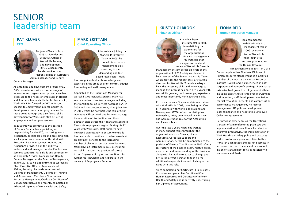### FIONA REID Human Resource Manager

Fiona commenced with Workskills in a management role in 2009, overseeing two of Workskills (then) four sites and was promoted to the Human Resource

Management role in 2011. In 2013 Fiona completed her Graduate Diploma of Human Resource Management, is a Certified Member of the Australian Human Resource Institute (CAHRI) and is experienced in both corporate and non-profit settings. Fiona has an extensive background in HR generalist affairs, including experience in employee recruitment and retention, staff development, mediation, conflict resolution, benefits and compensation, performance management, HR records management, HR policies development, legal compliance and negotiating Employee Collective Agreements.

### PAT KLUVER **CEO**



Her previous experience as the Operations Manager of a manufacturing plant saw the implementation of work flow schedules that improved productivity, the implementation of Work Health and Safety policy and practices and return to work processes. Prior to this, Fiona ran a landscape and design business in Melbourne for twelve years and has worked in Senior Management roles in hospitality in Melbourne and Perth.

Pat joined Workskills in 2005 as Founder and Executive Officer of Workskills Training and Development (RTO). Subsequently he also took on the responsibilities of Corporate

Services Manager and Deputy

General Manager.

As a training and development professional, Pat's consultations with a diverse range of industries and organisations proved excellent exposure to the needs of employers in Hobart and Southern Tasmania. Under his leadership, Workskills RTO focused on VET to link job seekers to employment in local industries, develop work preparation programmes for those doing it tough and also formal skills development for Workskills staff delivering employment and support services.

In 2009 Pat was promoted to the position of Deputy General Manager taking on responsibility for the RTO, marketing, work experience, special projects and providing high level support as a member of the Workskills Executive. Pat's management training and experience provided him the ability to understand and manage complex Employment Services contracts. Pat's skills and contribution as Corporate Services Manager and Deputy General Manager led the Board of Management, in June 2015, to his appointment as Workskills' Chief Executive Officer. An advocate of lifelong learning, he holds an Advanced Diploma of Management, Diploma of Training and Assessment, Certificate IV in Human Resource Management, Graduate Certificate of Management (UTAS) and recently completed an Advanced Diploma of Work Health and Safety.

### MARK BRITTAIN Chief Operating Officer



Prior to Mark joining the Workskills Executive Team in 2005, he honed his extensive management skills operating in the demanding and fast paced retail sector. Mark

has brought with him his knowledge and expertise in the areas of profit control, budget forecasting and staff management.

Appointed as the Operations Manager for Workskills Job Network Services, Mark has seen a number of contract changes including the transition to Job Services Australia (JSA) in 2009 and most recently from JSA to jobactive in 2015 which he now holds the role of Chief Operating Officer. Mark and his team manage the operation of five fulltime and three outreach sites across the Hobart and Southern Tasmania employment region. During his 12 years with Workskills, staff numbers have increased significantly to ensure Workskills has been able to continue to deliver excellent employment services to the increasing number of clients across Southern Tasmania. Mark plays an instrumental role in ensuring Workskills remains the provider of choice in our Employment region and continues to further his knowledge and expertise in the delivery of Employment Services.

### KRISTY HOLBROOK Finance Officer



Kristy has been instrumental in 2016 in re-defining the parameters for the organisations financial management. This work has seen a major overhaul and

review of Workskills financial management system across all levels of the organisation. In 2017 Kristy was invited to be a member of the Senior Leadership Team, which provides the highest level of strategic direction for Workskills. To enable Kristy to have the necessary skills and knowledge to manage this process has been her 9 years with Workskills growing her knowledge, experience and most importantly her leadership skills.

Kristy started as a Finance and Admin trainee with Workskills in 2009, completing her Cert III in Business with Workskills Training and Development (RTO). After completing her traineeship, Kristy commenced in a Finance and Administration role for the Accounting and Finance Team.

Over the last 9 years Kristy has worked in many support roles throughout the organisation across Finance, Human Resources, Corporate Support and Administration, before being appointed to the position of Finance Coordinator in 2015 after a restructure of the Finance Team. Kristy's skills, experience and understanding of the business along with her ability to adapt to change put her in the perfect position to take on the additional responsibilities and challenges that came with this role.

Since completing her Certificate III in Business, Kristy has completed her Certificate IV in Human Resources and Certificate IV in Work Health and Safety and is currently undertaking her Diploma of Accounting.

## SENIOR leadership team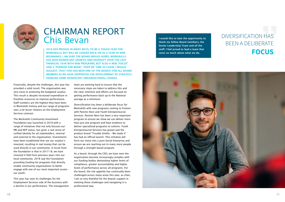Financially, despite the challenges, this year has provided a solid result. The organisation was very close to achieving the budgeted surplus. This result is despite increased expenditure in frontline resources to improve performance. Staff numbers are the highest they have been in Workskills history and our range of programs sees a lot lesser reliance on the Employment Services contract.

The Workskills Community Investment Foundation was launched in 2018 with a range of initiatives that not only focuses our PBI and NFP status, but gives a real sense of unified identity for all stakeholders, internal and external to the organisation. Investments have been established that see our surplus's invested, resulting in real money that can be used directly in our community. A result from the foundation is that in 2017-18, we have invested 4 fold from previous years into our local community. 2018 saw the Foundation providing funding for programs that directly enable community organisations to better engage with one of our most important assets – our youth.

This year has seen its challenges for the Employment Services side of the business with a decline in our performance. The management



## CHAIRMAN REPORT Chis Bevan

2018 HAS PROVEN, IN MANY WAYS, TO BE A TOUGH YEAR FOR WORKSKILLS, BUT WILL BE LOOKED BACK ON AS A YEAR OF NEW BEGINNINGS. I AM SURE THE BOARD WOULD AGREE, WORKSKILLS HAS SEEN SIGNIFICANT GROWTH AND DIVERSITY OVER THE LAST FINANCIAL YEAR WITH NEW PROGRAMS, BUT ALSO A NEW "FOCUS" AND A "PURPOSE FOR BEING". OVER MY TIME AS CHAIR, I WOULD SUGGEST, THAT THIS HAS BEEN ONE OF THE BUSIEST FOR ALL BOARD MEMBERS AS WE HAVE SUPPORTED THE DEVELOPMENT OF STRATEGY, ENABLING SOME SIGNIFICANT ORGANISATIONAL CHANGE.

> team are working hard to ensure that the necessary steps are taken to address this and the clear intention and efforts are focused on getting performance back up to the National average as a minimum.

Diversification has been a deliberate focus for Workskills with new programs coming to fruition with Parents Next and Youth Entrepreneurial Services. Parents Next has been a very important program to ensure we show we can deliver more than just one program and have evidence to deliver specialised programs to cohorts. Youth Entrepreneurial Services has grown and the product brand "Trouble Smiths – We made it" has had an official launch. This initiative will form our move into a pure Social Enterprise and ensure we are reaching out to many more people through a strength based program.

As a board, through the CEO, we have seen the organisation become increasingly complex with our funding bodies demanding higher levels of compliance, greater accountability and higher levels of performance across all programs. For the board, the risk appetite has continually been challenged across many areas this year, as chair, I am so very thankful for the boards support in meeting these challenges and navigating in a professional way.

I would like to take the opportunity to thank my fellow Board members, the Senior Leadership Team and all the staff, I feel proud to lead a team that cares so much about what we do.



### DIVERSIFICATION HAS BEEN A DELIBERATE **FOCUS**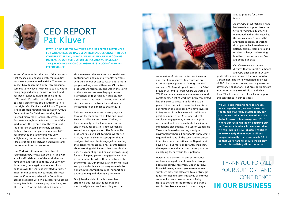Impact Communities, the part of the business that focuses on engaging with communities has seen unprecedented activity. The team at Impact have taken the Youth Entrepreneurial Services to new levels with close to 150 youth being engaged along the way. A new brand has been launched called Trouble Smiths – "We made it", further providing a strong business case for the Social Enterprise in its own right. Our Families and Schools Together (FAST) program through the Salvation Army's Communities for Children's funding has touched many more families this year. I was fortunate enough to be invited to one of the graduations this year, where the results of the program become extremely tangible. To hear stories from participants how FAST has improved the family unit was very enlightening. Impact continues to prosper and forge stronger links between Workskills and the communities that we serve.

Our Workskills Community Investment Foundation (WCIF) was launched in June with an all staff celebration of the work that we have done and continue to do. Our very own foundation, once again saw our surplus's built up over the years be invested to further invest in our community partners. This year saw the Community Allocation Committee assess proposals with two successful Coaching Young People for Success programs being run. The "charter" for the Allocation Committee



### CEO REPORT Pat Kluver

IT WOULD BE FAIR TO SAY THAT 2018 HAS BEEN A MIXED YEAR FOR WORKSKILLS. WE HAVE SEEN TREMENDOUS GROWTH IN OUR COMMUNITY BRAND, IMPACT. WE HAVE SEEN NEW PROGRAMS INCREASING OUR SUITE OF OFFERINGS AND WE HAVE SEEN THE JOBACTIVE SIDE OF OUR BUSINESS "STRUGGLE" WITH ITS PERFORMANCE.

> aims to extend the work we can do with cocontributions and aims to "enable" partners with skills in our sector to reach out to more people making a real difference. Of the two programs we facilitated, one was in the North of the state and we were happy to make new friends in that region. Pleasingly our investments have been achieving the stated aims and we are on track for next year's investment to be similar to that of 2018.

This year we tendered for a new program through the Department of Jobs and Small Business called Parents Next. Working in the community sector has so many rewards and in many respects it is how Workskills started as an organisation. The Parents Next program takes us back to where we started in many ways, delivering a program that is designed to keep clients engaged in meeting their longer term aspirations. Parents Next is about working with Parents that have children under 6 years of age and has an overwhelming focus of keeping parents engaged in services in preparation for when they need to re-enter the workforce. Our enthusiastic team motivate and plan with clients a pathway to maximise opportunities through training, support and understanding and identifying networks.

Our jobactive side of the business has struggled this last year. It has required much analysis and soul searching and the



culmination of this saw us further invest in our front line resources to ensure we are maximising our potential. During late 2017 and early 2018 we dropped down to a 2 STAR provider. A long fall from where we were at 5 STARS and not somewhere where we are at all comfortable. A lot of work has been completed late this year to prepare us for the last 2 years of the contract to come back and take our number one spot back. We have invested in key areas of the business with additional positions in Intensive Assistance, direct employer engagement, a two person jobs rescue unit and two consultants focusing on indigenous placements. The Senior Leadership Team are focused on setting the right environment where all our people know what's required and have all the tools and resources to achieve the expectations the Department have on us, but more importantly than that, the expectations that all our clients place on us helping them realise their potential.

Despite the downturn in our performance, we have managed to still provide a strong operating surplus this year. Under our new financial management system we now see surpluses either be allocated to our strategic funds for medium term initiatives or into our community investment accounts. Being so close to the end of the contract, this year's surplus has been allocated to the strategic

area to prepare for a new tender.

As the CEO of Workskills, I have had excellent support from the Senior Leadership Team. As I mentioned earlier, this year has thrown us some "curve balls" and there is plenty of work to do to get us back to where we belong, but my team are taking on the challenge and working hard to ensure we can say "we are doing our best".

Our Governance structure dictates that we meet as a board and CEO once a month. A very

quick calculation indicates that our Board of Management has literally donated in excess of 500 Hours to ensure we, not only meet our governance obligations, but provide significant input into the way Workskills is and what it does. Thank you so much for all your support and confidence in our business.

We will keep working hard to ensure, as an organisation, we are focused on the things that really matter to us, our customers and all our stakeholders. We do look forward to a prosperous 2019 where our focus will be on ensuring our performance is where it needs and that we can lock in a new jobactive contract in 2020. Lastly thanks you to all our people internally, there are nearly 80 of us that work hard to ensure we all play our part in realising all our potential.

THANK YOU FOR ALL YOUR SUPPORT AND CONFIDENCE **IN OUR BUSINESS**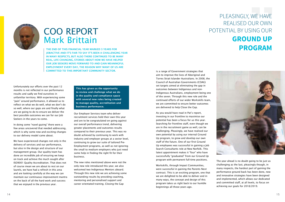Unfortunately our efforts over the past 12 months is not reflected in our performance results and sadly we find ourselves in unfamiliar territory. With experiencing some "pain" around performance, it allowed us to reflect on what we do well, what we don't do so well, where our gaps are and finally what are we going to do to ensure we deliver the best possible outcomes we can for our Job Seekers in the years to come.

In doing some "navel gazing" there were a few areas uncovered that needed addressing, which is why some new and exciting changes to our delivery model came about.

We have experienced changes not only in the delivery of services and our performance, but also in the design and structure of our management group. Our quality team has done an incredible job of ensuring we keep on track and achieve the much sought after ISO9001 Quality Accreditation. That does not of course mean we are about to rest on our laurels, we have had a refresh in this area and are looking carefully at the way we can maintain our continuous improvement mantra on the back of all the hard work and success that we enjoyed in the previous year.



## COO REPORT Mark Brittain

THE END OF THIS FINANCIAL YEAR MARKED 3 YEARS FOR JOBACTIVE AND IT'S FAIR TO SAY IT'S BEEN A CHALLENGING YEAR IN MANY RESPECTS, BUT ALSO THERE CONTINUES TO BE MANY REAL, LIFE CHANGING, STORIES ABOUT HOW WE HAVE HELPED OUR JOB SEEKERS MOVE FORWARD TO AND GAIN MEANINGFUL EMPLOYMENT EVERY DAY, THE REASON WHY MANY OF US ARE COMMITTED TO THIS IMPORTANT COMMUNITY SECTOR.

> This has given us the opportunity to review and challenge what we do in the quality and compliance space with several new roles being created to manage quality, accreditation and business performance.

Our Employer Services team who deliver recruitment services held their own this year and are to be congratulated on going against our overall performance trend, delivering greater placements and outcomes results compared to their previous year. This was no doubt achieved by continuing to work with industry and employer groups at a sector level, continuing to grow our suite of tailored Pre-Employment programs, as well as not ignoring the small to medium employers who just need some help in finding the right fit for their business.

The new roles mentioned above were not the only new role introduced this year, we also welcomed two Indigenous Mentors aboard. Through this new role we are achieving some outstanding results by providing coaching, mentoring and personalised support and career orientated training. Closing the Gap

is a range of Government strategies that aim to improve the lives of Aboriginal and Torres Strait Islander Australians. In 2008, the Council of Australian Governments (COAG) set targets aimed at eliminating the gap in outcomes between Indigenous and non-Indigenous Australians, employment being one of the seven. Through this new role and the continued efforts of our wider Workskills team, we are committed to ensure better outcomes are delivered to help Close the Gap.

As you would have read in Pat's report, investing in our frontline to maximise our potential has been a focus for us this year. Searching for frontline staff, even though we are in the recruitment game as well, can be challenging. Pleasingly, we have realised our own potential by using our internal Ground Up program, to grow and develop our own staff of the future. One of our first Ground Up employees was successful in gaining a Job Search Consultants role at New Norfolk. This latest appointment makes it "four" who have successfully "graduated" from our Ground Up program with permanent full-time positions.

Workskills, through Impact Communities, were successful in gaining the Parents Next contract. This is an exciting program, one that we are delighted to be able to deliver and in many ways, the concept and design of this program takes us right back to our humble beginnings all those years ago.

PLEASINGLY, WE HAVE REALISED OUR OWN POTENTIAL BY USING OUR **GROUND UP PROGRAM**



The year ahead is no doubt going to be just as challenging as the last, pleasingly though, in many respects, the hardest part of gaining the performance ground back has been done, new and innovative strategies have been designed and implemented, which allows our dedicated and committed staff, at all levels, to focus on achieving our goals for 2018/2019.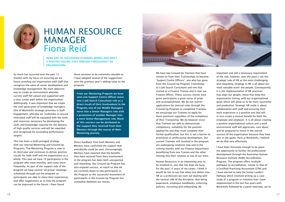So much has occurred over the past 12 months with my focus on ensuring we are future proofing our organisation with staff that recognise the value of career development and knowledge management. My main objective was to create an environment whereby current staff felt valued and supported with a clear career path within the organisation. Additionally, it was important that we create the next generation of knowledge managers. One of Workskills strategic priorities is Staff Engagement, whereby we 'undertake to ensure motivated staff will be equipped with the tools and resources necessary for developing the skills and knowledge required for the delivery of high quality services and will be rewarded and recognised for exceeding performance targets'.

This has been a multi-pronged strategy with our internal Mentoring and Ground-Up Programs. The Mentoring Program is now in its third year and continues to deliver positive results for both staff and the organisation as a whole. This year we have 10 participants in the program who meet monthly, and some more frequently. As part of the support side of the program we have several 'all group' meetings scheduled through-out the program so participants are able to share their experiences and offer suggestions as to how the program can be improved in the future. I have found



## HUMAN RESOURCE MANAGER Fiona Reid

NEWS JUST IN. SUCCESSION PLANNING WORKS AND WHAT A POSITIVE FEELING THAT SPREADS THROUGHOUT AN ORGANISATION.

> these sessions to be extremely valuable as I have adopted several of the suggestions over the previous year's adding value to the program.

From our Mentoring Program we have seen one Support Centre Officer move into a Job Search Consultant role as a direct result of their involvement in the Program, one of our Middle Managers move into a Senior Managers role with a promotion of another Manager into a more Senior Management role. Much of this success can be attributed to the support they received from their Mentors through the course of their Mentoring journey.

Direct feedback from both Mentees and Mentors have confirmed the support that anecdotally could be seen. Encouragingly, Mentors have reported that the benefits they have received from their involvement in the program has been both unexpected and rewarding. Our Ground Up Program has also enjoyed success, so much so that we are currently down to two participants in the Program as the successful movement of participants in the Ground Up Program has somewhat depleted our stocks.



We have two Ground Up Trainees that have moved on from their Traineeships to become 'Support Centre Officers', one who has gone from the Ground Up Program Traineeship to a Job Search Consultant and one that started as a Finance Trainee and is now our Finance Officer. These success stories have given participants a great sense of pride and accomplishment. We do not restrict applications for internal roles through the Ground-Up Program to completed Trainees, we encourage our Trainees to apply for these positions regardless of the completion of their Traineeship. We do however insist that Trainees are able to demonstrate competency, suitability for the position applied for and they must complete their formal qualification, but this is not a barrier to promotion or professional development. Our current Trainees still involved in the program are undergoing rotations now and in the coming months with our Finance Department benefitting from one Trainee and the other moving into their rotation at one of our Sites.

Human Resources in an interesting area to be involved in, one that has kept me busy for the past 15 years of my career. I think it would be fair to say that when one delves into HR as a profession we start out dealing with the tactical side of the discipline- that being paperwork, employee handbooks, enforcing policies, recruiting and onboarding. All

important and still a necessary requirement of the role, however, over the years I see the strategic side of HR as the most challenging and rewarding. Strategy in HR is all about our most valuable asset- the people. Consequently, it is the implementation of HR practices that align our people, those that keep this organisation ticking, with our organisational goals which will allow us to be more successful and productive. Strategic HR really is about collaboration with staff and ensuring their work experience is a positive one that will in turn create a mutual benefit for both the employee and employer. It is all about creating a positive organisational culture and a work environment staff will appreciate, care about and be prepared to invest in the overall success of the organisation because they have skin in the game. Here at Workskills, I believe we do that very effectively.

I have been fortunate enough to be given the opportunity to further my professional development through the Australian Human Resource Institute (AHRI) Accreditation Program. The program offers multiple pathways to accreditation, similar to that of a Certified Practising Accountant (CPA) and I have elected to take the Senior Leaders Pathway which involved writing up a case study of a program or initiative that I have implemented in the last five years with Workskills followed by a panel interview, yet to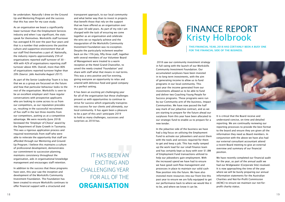

be undertaken. Naturally I drew on the Ground Up and Mentoring Program and the success that this has seen for my case study.

As an organisation we boast a significantly lower turnover than the Employment Services industry and when I say significant, the stats speak for themselves. Workskills staff turnover has averaged 8.5% over the past four years and that is a number that underscores the positive culture and supportive environment that all our staff find themselves a part of. Nationally, the industry reports approximately 25% of organisations reported staff turnover of 30 – 40% with 42% of organisations reporting staff turnover above 40%. Overall, more than 80% of organisations reported turnover higher than 20% *(Source: Jobs Australia August 2017).*

As part of the Senior Leadership Team it is key that we as a group are focussed on the future and how that particular behaviour looks to the rest of the organisation. Workskills is seen to be an excellent employer and I have regular conversations with prospective applicants who are looking to come across to us from our competitors, as our reputation precedes us, resulting in the successful recruitment of five staff in the last three months from our competitors, putting us at a competitive advantage. We were recently (June 2018) bestowed the 'Employer of Choice' award by the Department of State Growth in Tasmania. This was a rigorous application process and required testimonials from staff who were able to reiterate the opportunity that staff are afforded through our Mentoring and Ground-Up Program. I believe this maintains a culture of professional development, demonstrates our commitment to succession planning, maintains consistency throughout the organisation, aids in organisational knowledge management and encourages staff retention.

In addition to the success that these programs have seen, this year saw the inception and development of the Workskills Community Investment Foundation. The Foundation has been created to ensure Workskills continues to offer financial support with a structured and

transparent approach, to our local community and what better way than to invest in projects that benefit those that rely on the support that we have offered as an organisation over the past 30 odd years. As part of my role I am charged with the task of ensuring we come together as an organisation and celebrate the wins we so regularly achieve and the inauguration of the Workskills Community Investment Foundation was no exception. Despite the particularly inclement weather back on the 17th July, fifty three staff, together with several members of our Volunteer Board of Management were treated to a warm reception at the Hotel Grand Chancellor, to unveil the newly created 'Foundation' and share with staff what that means in real terms. This was a very positive and fun evening, giving everyone an opportunity to relax and unwind with delicious food and good company in a perfect setting.

It has been an exciting yet challenging year for all of the organisation but these challenges present us with opportunities to continue to strive for success which organically transpires into success for our clients and ultimately, our local community. It has again been a pleasure to be a part of this and I anticipate 2019 to hold as many challenges, successes and surprises as 2018 has.

IT HAS BEEN AN EXCITING AND CHALLENGING YEAR FOR ALL OF THE **ORGANISATION**



 2018 saw our community investment strategy in full swing with the launch of our Workskills Community Investment Foundation. Our accumulated surpluses have been invested in to long term investments, with the aim of generating income to allow us to fund programs in our local community. This past year the income generated from our investments allowed us to be able to fund and deliver two Coaching Young People for Success programs. These programs were run by our Community arm of the business, Impact Communities. We have now passed the half way mark of our jobactive contract, and as we are starting to prepare for the future ahead our surpluses from this year have been allocated to our strategic fund to enable us to prepare for a new tender.

In the jobactive side of the business we have had a big focus on utilising the Employment Fund to activate our jobseekers and assist them with the tools and services required for them to get and keep a job. This has really ramped up the work load for our small finance team and has certainly kept us busy with over \$1.8M of Employment Fund transactions utilized to help our jobseekers gain employment. With the increased spend we have had to ensure we have good cash-flow management and processes in place to maintain our solid cashflow position into the future. We have also invested more resources into our front line this past year to ensure we are fully equipped to get our performance back to where we would like it to be, and where we know it can be.

It is critical that the Board receive and understand concise, on time and detailed reporting. We are continually reviewing our reporting processes to provide the best format to the board and ensure they are given all the information they need as Board members. In conjunction with the above we have also had our external consultant accountant attend a recent Board meeting to give an external overview and summary of our financial position.

We have recently completed our financial audit for the year, as part of the annual audit we had our Bridgewater (Corporate Site) revalued. It is now approaching the time of the year where we will be busily preparing our annual information statements for the Australian Charities and Not-for-Profit Commission (ACNC) to ensure we maintain our not-forprofit charity status.

## FINANCE REPORT Kristy Holbrook

THIS FINANCIAL YEAR, 2018 HAS CERTAINLY BEEN A BUSY ONE FOR THE FINANCIAL SIDE OF THE BUSINESS.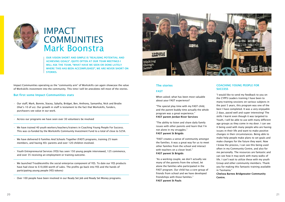Impact Communities operating as the "community arm" of Workskills can again showcase the value of Workskills investment into the community. This time I will let anecdotes tell most of the stories.

#### But first some Impact Communities stats

- Our staff, Mark, Bonnie, Stacey, Sybylla, Bridget, Ben, Anthony, Samantha, Nick and Brodie (that's 10 of us). Our growth in staff is testament to the fact that Workskills, funders, purchasers see value in our work.
- Across our programs we have seen over 30 volunteers be involved
- We have trained 40 youth workers/teachers/trainers in Coaching Young People For Success. This was co-funded by the Workskills Community Investment Fund to a total of close to \$25K.
- We have delivered 6 Families And Schools Together (FAST) programs, training 25 team members, and having 40+ parents and over 120 children involved.
- Youth Entrepreneurial Services (YES) has seen 150 young people interviewed, 125 commence, and over 35 receiving an employment or training outcome.
- We launched Troublesmiths the social enterprise component of YES. To date our YES products have had close to \$10,000 worth of sales. The profits go back into YES and the hands of participating young people (YES tokens)

### COACHING YOUNG PEOPLE FOR **SUCCESS**

• Over 100 people have been involved in our Ready Set Job and Ready Set Money programs.



### The stories

### FAST

When asked; what has been most valuable about your FAST experience?

"The special play time with my FAST child, and the parent buddy time actually the whole program was a great experience." FAST parent Jordan River Services

"The ability to listen and share daily family issues with other parents and learn that I'm not alone in my struggles." FAST parent St Brigids

"FAST creates a sense of community amongst the families. It was a great way for us to meet other families from the school and interact with teachers on a closer level." FAST parent St Brigids

"As a working couple, we don't actually see many of the parents from the school, let alone the families who participated in the FAST program. Our child has a core group of friends from school and we have developed friendships with those families." FAST parent St Pauls



### IMPACT **COMMUNITIES** Mark Boonstra

OUR VISION SHORT AND SIMPLE IS "REALISING POTENTIAL AND ACHIEVING GOALS". QUITE OFTEN AT OUR TEAM MEETINGS I WILL ASK THE TEAM, "WHAT HAVE WE SEEN OR DONE LATELY WHERE THIS HAS BEEN ACCOMPLISHED", WE ARE NEVER SHORT ON STORIES.

> "I would like to send my feedback to you on the CYPFS Leaders training I have been to many training sessions on various subjects in the past 5 years, this program was one of the best I have completed. It was a very enjoyable 2 days, paced well and super interesting! The skills I learnt even though it was targeted to Youth, I will be able to use with many different age groups as they come in my door. I can see it being used with many people who are having issues in their life and want to make positive changes in their circumstances. Being able to make help people make plans to set goals and make changes for the future they want. Now I know the process, I can see this being used often in my Community Centre, and also for me personally. The resources are fantastic and can see how it may work with many walks of life. I can't wait to utilize these with my youth Group and other community members. Thank you for making this fantastic training available in Tasmania."

Chelsea Barnes Bridgewater Community Centre.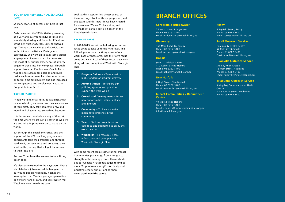### YOUTH ENTREPRENEURIAL SERVICES (YES)

So many stories of success but here is just one.

Paris came into the YES initiative presenting as a very anxious young lady; at times she was visibly shaking and found it difficult to string her words together. But she showed up! Through the coaching and participation in the initiative activities, Paris gained confidence. She went on to gain some casual employment. She was so excited to make the most of it, but her experience of anxiety began to creep into her workplace. Through support from her Employment Coach, Paris was able to sustain her position and build resilience into her role. Paris has now moved on to full-time employment and has increased her competence and employment capacity. Congratulations Paris!

### **TROUBLESMITHS**

"When we think of a smith, be it a blacksmith or a wordsmith, we know that they are masters of their craft. They take something raw and mould and shape it into something beautiful.

Life throws us curveballs – many of them at the time where we are just discovering who we are and what imprint we want to make on the world.

But through this social enterprise, and the support of the YES coaching program, our participants take their troubles and through hard work, perseverance and creativity, they start on the journey that will get them closer to their ideal life.

- 1. Program Delivery To maintain a high standard of program delivery
- 2. Administration To ensure our policies, systems and practices support the work we do
- 3. Growth and Development Assess new opportunities, refine, enhance and innovate
- 4. Community To have an active meaningful presence in the community
- 5. Team Staff and volunteers are equipped and supported to enjoy the work they do
- 6. Workskills To resource, share information and co-implement Workskills Strategic Plan

And so, Troublesmiths seemed to be a fitting description.

It's also a cheeky nod to the naysayers. Those who label our jobseekers dole bludgers, or our young people hooligans. It takes the assumption that Tassie's younger generation don't work hard or care, and says 'Watch me! Watch me work. Watch me care.'

#### Impact Communities / Recruitment **Centre**

Look at this soap, or this cheeseboard, or these earrings. Look at this pop-up shop, and this team, and this new life we have created for ourselves. We are Troblesmiths, and we made it." Bonnie Tuttle's Speech at the Troublesmiths launch

#### **KEY FOCUS AREAS**

In 2018-2019 we set the following as our key focus areas to take us to the next level. The following areas are the 6 key areas of our work. Each of these areas has their own focus areas and KPI's. Each of these focus areas wok alongside and compliment Workskills Strategic Plan.

With some recent team restructuring, Impact Communities plans to go from strength to strength in the coming year/s. Please check out our website / Facebook pages to find out more. To purchase your gifts for family and Christmas check out our online shop; www.troublesmiths.com.au .

#### Corporate & Bridgewater

25 Hurst Street, Bridgewater Phone: 03 6262 5400 Email: bridgewater@workskills.org.au

#### **Glenorchy**

364 Main Road, Glenorchy Phone: 03 6262 5400 Email: glenorchy@workskills.org.au

#### **Hobart**

Suite 7 Trafalgar Centre 110 Collins Street, Hobart Phone: 03 6262 5400 Email: hobart@workskills.org.au

#### New Norfolk

2 High Street, New Norfolk Phone: 03 6262 5400 Email: newnorfolk@workskills.org.au

49 Molle Street, Hobart Phone: 03 6262 5400 Email: enquries@impactcommunities.org.au jobs@workskills.org.au

#### Rosny

8 Bayfield Street, Rosny Phone: 03 6262 5400 Email: rosny@workskills.org.au

### Sorell Outreach Service

Community Health Centre 57 Cole Street, Sorell Phone: 03 6262 5400 Email: sorell@workskills.org.au

#### Huonville Outreach Service

Shop 4, Huon Arcade 15 Main Street, Huonville Phone: 03 6262 5400 Email: huonville@workskills.org.au

#### Triabunna Outreach Service

Spring bay Community and Health **Centre** 3 Melbourne Street, Triabunna Phone: 03 6262 5400

### BRANCH OFFICES